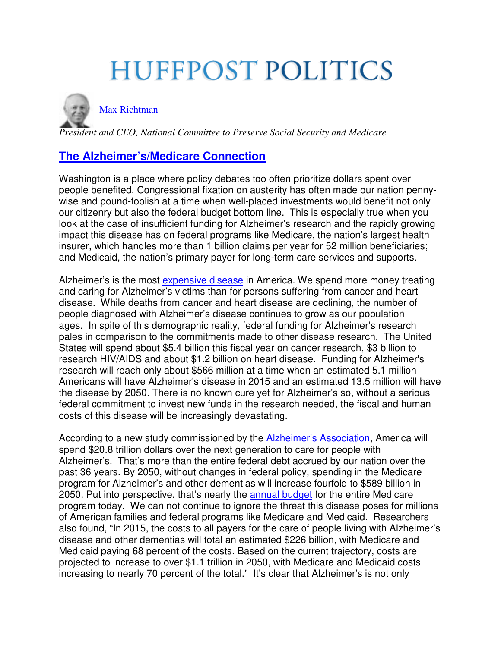# **HUFFPOST POLITICS**



[Max Richtman](http://www.huffingtonpost.com/max-richtman/) 

*President and CEO, National Committee to Preserve Social Security and Medicare* 

### **[The Alzheimer's/Medicare Connection](http://www.huffingtonpost.com/max-richtman/the-alzheimersmedicare-co_b_6746150.html)**

Washington is a place where policy debates too often prioritize dollars spent over people benefited. Congressional fixation on austerity has often made our nation pennywise and pound-foolish at a time when well-placed investments would benefit not only our citizenry but also the federal budget bottom line. This is especially true when you look at the case of insufficient funding for Alzheimer's research and the rapidly growing impact this disease has on federal programs like Medicare, the nation's largest health insurer, which handles more than 1 billion claims per year for 52 million beneficiaries; and Medicaid, the nation's primary payer for long-term care services and supports.

Alzheimer's is the most [expensive disease](http://act.alz.org/site/MessageViewer?dlv_id=101541&em_id=80007.0) in America. We spend more money treating and caring for Alzheimer's victims than for persons suffering from cancer and heart disease. While deaths from cancer and heart disease are declining, the number of people diagnosed with Alzheimer's disease continues to grow as our population ages. In spite of this demographic reality, federal funding for Alzheimer's research pales in comparison to the commitments made to other disease research. The United States will spend about \$5.4 billion this fiscal year on cancer research, \$3 billion to research HIV/AIDS and about \$1.2 billion on heart disease. Funding for Alzheimer's research will reach only about \$566 million at a time when an estimated 5.1 million Americans will have Alzheimer's disease in 2015 and an estimated 13.5 million will have the disease by 2050. There is no known cure yet for Alzheimer's so, without a serious federal commitment to invest new funds in the research needed, the fiscal and human costs of this disease will be increasingly devastating.

According to a new study commissioned by the [Alzheimer's Association,](http://www.alz.org/documents_custom/trajectory.pdf) America will spend \$20.8 trillion dollars over the next generation to care for people with Alzheimer's. That's more than the entire federal debt accrued by our nation over the past 36 years. By 2050, without changes in federal policy, spending in the Medicare program for Alzheimer's and other dementias will increase fourfold to \$589 billion in 2050. Put into perspective, that's nearly the [annual budget](http://www.whitehouse.gov/sites/default/files/omb/budget/fy2014/assets/tables.pdf) for the entire Medicare program today. We can not continue to ignore the threat this disease poses for millions of American families and federal programs like Medicare and Medicaid. Researchers also found, "In 2015, the costs to all payers for the care of people living with Alzheimer's disease and other dementias will total an estimated \$226 billion, with Medicare and Medicaid paying 68 percent of the costs. Based on the current trajectory, costs are projected to increase to over \$1.1 trillion in 2050, with Medicare and Medicaid costs increasing to nearly 70 percent of the total." It's clear that Alzheimer's is not only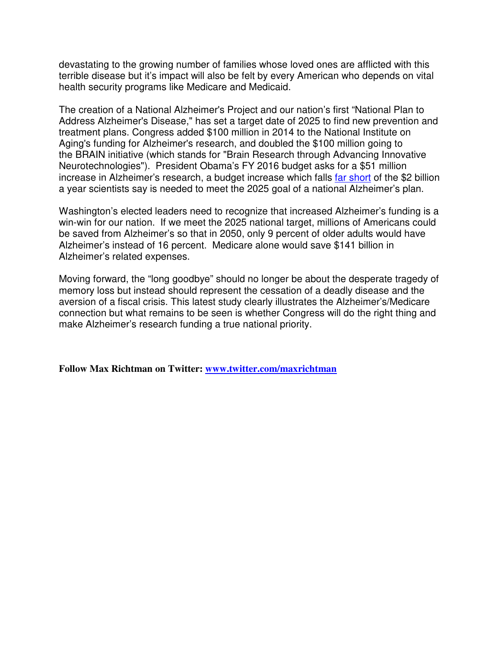devastating to the growing number of families whose loved ones are afflicted with this terrible disease but it's impact will also be felt by every American who depends on vital health security programs like Medicare and Medicaid.

The creation of a National Alzheimer's Project and our nation's first "National Plan to Address Alzheimer's Disease," has set a target date of 2025 to find new prevention and treatment plans. Congress added \$100 million in 2014 to the National Institute on Aging's funding for Alzheimer's research, and doubled the \$100 million going to the BRAIN initiative (which stands for "Brain Research through Advancing Innovative Neurotechnologies"). President Obama's FY 2016 budget asks for a \$51 million increase in Alzheimer's research, a budget increase which falls [far short](http://www.alz.org/documents_custom/president%27s_fy16_budget_statement_020215.pdf) of the \$2 billion a year scientists say is needed to meet the 2025 goal of a national Alzheimer's plan.

Washington's elected leaders need to recognize that increased Alzheimer's funding is a win-win for our nation. If we meet the 2025 national target, millions of Americans could be saved from Alzheimer's so that in 2050, only 9 percent of older adults would have Alzheimer's instead of 16 percent. Medicare alone would save \$141 billion in Alzheimer's related expenses.

Moving forward, the "long goodbye" should no longer be about the desperate tragedy of memory loss but instead should represent the cessation of a deadly disease and the aversion of a fiscal crisis. This latest study clearly illustrates the Alzheimer's/Medicare connection but what remains to be seen is whether Congress will do the right thing and make Alzheimer's research funding a true national priority.

**Follow Max Richtman on Twitter: [www.twitter.com/maxrichtman](http://www.twitter.com/maxrichtman)**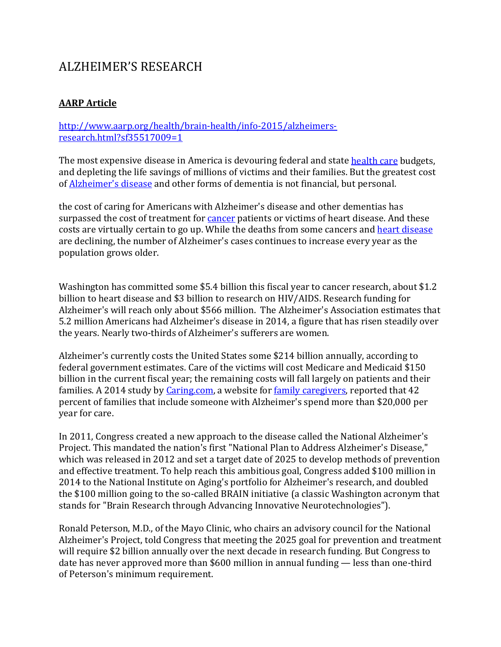### ALZHEIMER'S RESEARCH

#### **AARP Article**

#### [http://www.aarp.org/health/brain-health/info-2015/alzheimers](http://www.aarp.org/health/brain-health/info-2015/alzheimers-research.html?sf35517009=1)[research.html?sf35517009=1](http://www.aarp.org/health/brain-health/info-2015/alzheimers-research.html?sf35517009=1)

The most expensive disease in America is devouring federal and state [health care](http://www.aarp.org/health/health-insurance/info-08-2013/affordable-care-act-health-benefits.html) budgets, and depleting the life savings of millions of victims and their families. But the greatest cost of [Alzheimer's disease](http://www.aarp.org/health/brain-health/info-12-2012/fighting-alzheimers-pat-summitt.html) and other forms of dementia is not financial, but personal.

the cost of caring for Americans with Alzheimer's disease and other dementias has surpassed the cost of treatment for **cancer** patients or victims of heart disease. And these costs are virtually certain to go up. While the deaths from some cancers and [heart disease](http://www.aarp.org/health/conditions-treatments/info-2014/heart-disease-lifesaving-news-for-women.html) are declining, the number of Alzheimer's cases continues to increase every year as the population grows older.

Washington has committed some \$5.4 billion this fiscal year to cancer research, about \$1.2 billion to heart disease and \$3 billion to research on HIV/AIDS. Research funding for Alzheimer's will reach only about \$566 million. The Alzheimer's Association estimates that 5.2 million Americans had Alzheimer's disease in 2014, a figure that has risen steadily over the years. Nearly two-thirds of Alzheimer's sufferers are women.

Alzheimer's currently costs the United States some \$214 billion annually, according to federal government estimates. Care of the victims will cost Medicare and Medicaid \$150 billion in the current fiscal year; the remaining costs will fall largely on patients and their families. A 2014 study by [Caring.com,](https://www.caring.com/) a website for [family caregivers,](http://www.aarp.org/home-family/caregiving/) reported that 42 percent of families that include someone with Alzheimer's spend more than \$20,000 per year for care.

In 2011, Congress created a new approach to the disease called the National Alzheimer's Project. This mandated the nation's first "National Plan to Address Alzheimer's Disease," which was released in 2012 and set a target date of 2025 to develop methods of prevention and effective treatment. To help reach this ambitious goal, Congress added \$100 million in 2014 to the National Institute on Aging's portfolio for Alzheimer's research, and doubled the \$100 million going to the so-called BRAIN initiative (a classic Washington acronym that stands for "Brain Research through Advancing Innovative Neurotechnologies").

Ronald Peterson, M.D., of the Mayo Clinic, who chairs an advisory council for the National Alzheimer's Project, told Congress that meeting the 2025 goal for prevention and treatment will require \$2 billion annually over the next decade in research funding. But Congress to date has never approved more than \$600 million in annual funding — less than one-third of Peterson's minimum requirement.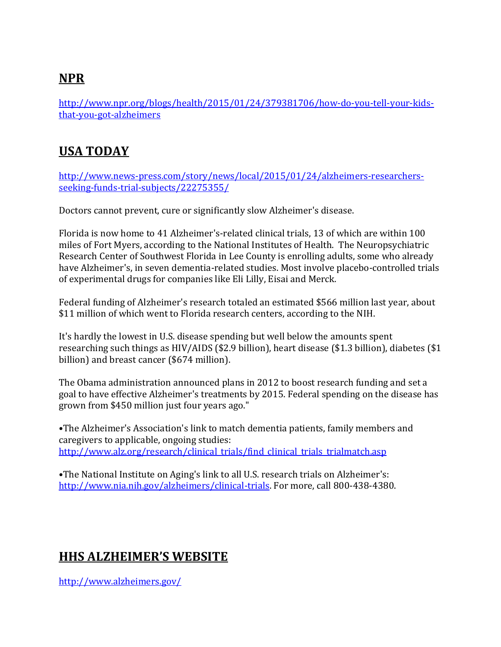### **NPR**

[http://www.npr.org/blogs/health/2015/01/24/379381706/how-do-you-tell-your-kids](http://www.npr.org/blogs/health/2015/01/24/379381706/how-do-you-tell-your-kids-that-you-got-alzheimers)[that-you-got-alzheimers](http://www.npr.org/blogs/health/2015/01/24/379381706/how-do-you-tell-your-kids-that-you-got-alzheimers)

### **USA TODAY**

[http://www.news-press.com/story/news/local/2015/01/24/alzheimers-researchers](http://www.news-press.com/story/news/local/2015/01/24/alzheimers-researchers-seeking-funds-trial-subjects/22275355/)[seeking-funds-trial-subjects/22275355/](http://www.news-press.com/story/news/local/2015/01/24/alzheimers-researchers-seeking-funds-trial-subjects/22275355/)

Doctors cannot prevent, cure or significantly slow Alzheimer's disease.

Florida is now home to 41 Alzheimer's-related clinical trials, 13 of which are within 100 miles of Fort Myers, according to the National Institutes of Health. The Neuropsychiatric Research Center of Southwest Florida in Lee County is enrolling adults, some who already have Alzheimer's, in seven dementia-related studies. Most involve placebo-controlled trials of experimental drugs for companies like Eli Lilly, Eisai and Merck.

Federal funding of Alzheimer's research totaled an estimated \$566 million last year, about \$11 million of which went to Florida research centers, according to the NIH.

It's hardly the lowest in U.S. disease spending but well below the amounts spent researching such things as HIV/AIDS (\$2.9 billion), heart disease (\$1.3 billion), diabetes (\$1 billion) and breast cancer (\$674 million).

The Obama administration announced plans in 2012 to boost research funding and set a goal to have effective Alzheimer's treatments by 2015. Federal spending on the disease has grown from \$450 million just four years ago."

•The Alzheimer's Association's link to match dementia patients, family members and caregivers to applicable, ongoing studies: [http://www.alz.org/research/clinical\\_trials/find\\_clinical\\_trials\\_trialmatch.asp](http://www.alz.org/research/clinical_trials/find_clinical_trials_trialmatch.asp)

•The National Institute on Aging's link to all U.S. research trials on Alzheimer's: [http://www.nia.nih.gov/alzheimers/clinical-trials.](http://www.nia.nih.gov/alzheimers/clinical-trials) For more, call 800-438-4380.

### **HHS ALZHEIMER'S WEBSITE**

<http://www.alzheimers.gov/>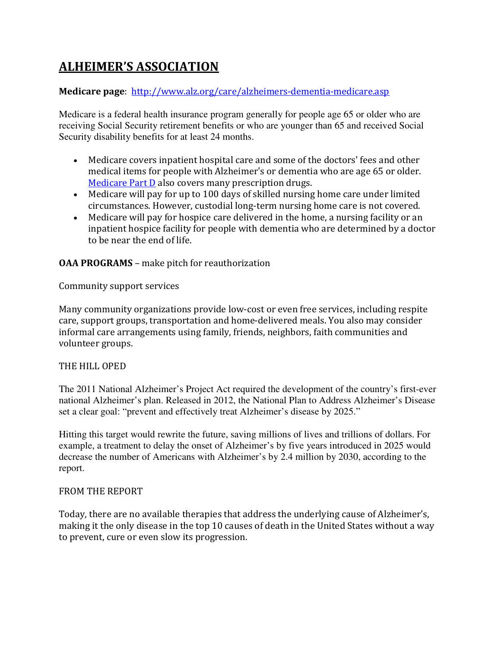### **ALHEIMER'S ASSOCIATION**

#### **Medicare page**:<http://www.alz.org/care/alzheimers-dementia-medicare.asp>

Medicare is a federal health insurance program generally for people age 65 or older who are receiving Social Security retirement benefits or who are younger than 65 and received Social Security disability benefits for at least 24 months.

- Medicare covers inpatient hospital care and some of the doctors' fees and other medical items for people with Alzheimer's or dementia who are age 65 or older. [Medicare Part D](http://www.alz.org/care/alzheimers-dementia-medicare-part-d.asp) also covers many prescription drugs.
- Medicare will pay for up to 100 days of skilled nursing home care under limited circumstances. However, custodial long-term nursing home care is not covered.
- Medicare will pay for hospice care delivered in the home, a nursing facility or an inpatient hospice facility for people with dementia who are determined by a doctor to be near the end of life.

**OAA PROGRAMS** – make pitch for reauthorization

Community support services

Many community organizations provide low-cost or even free services, including respite care, support groups, transportation and home-delivered meals. You also may consider informal care arrangements using family, friends, neighbors, faith communities and volunteer groups.

#### THE HILL OPED

The 2011 National Alzheimer's Project Act required the development of the country's first-ever national Alzheimer's plan. Released in 2012, the National Plan to Address Alzheimer's Disease set a clear goal: "prevent and effectively treat Alzheimer's disease by 2025."

Hitting this target would rewrite the future, saving millions of lives and trillions of dollars. For example, a treatment to delay the onset of Alzheimer's by five years introduced in 2025 would decrease the number of Americans with Alzheimer's by 2.4 million by 2030, according to the report.

#### FROM THE REPORT

Today, there are no available therapies that address the underlying cause of Alzheimer's, making it the only disease in the top 10 causes of death in the United States without a way to prevent, cure or even slow its progression.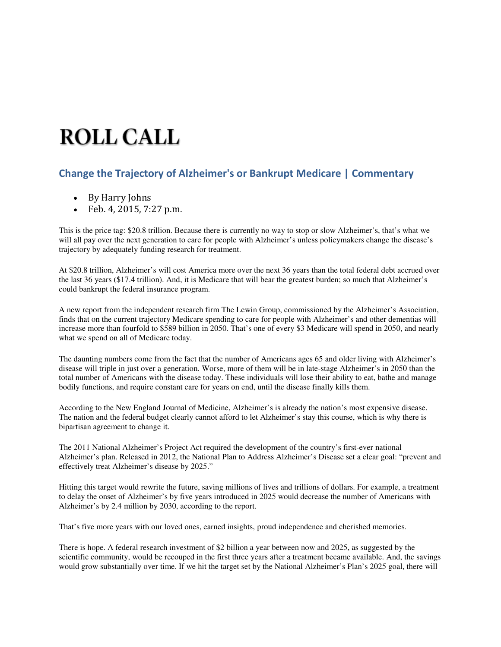## **ROLL CALL**

#### **Change the Trajectory of Alzheimer's or Bankrupt Medicare | Commentary**

- By Harry Johns
- Feb. 4, 2015, 7:27 p.m.

This is the price tag: \$20.8 trillion. Because there is currently no way to stop or slow Alzheimer's, that's what we will all pay over the next generation to care for people with Alzheimer's unless policymakers change the disease's trajectory by adequately funding research for treatment.

At \$20.8 trillion, Alzheimer's will cost America more over the next 36 years than the total federal debt accrued over the last 36 years (\$17.4 trillion). And, it is Medicare that will bear the greatest burden; so much that Alzheimer's could bankrupt the federal insurance program.

A new report from the independent research firm The Lewin Group, commissioned by the Alzheimer's Association, finds that on the current trajectory Medicare spending to care for people with Alzheimer's and other dementias will increase more than fourfold to \$589 billion in 2050. That's one of every \$3 Medicare will spend in 2050, and nearly what we spend on all of Medicare today.

The daunting numbers come from the fact that the number of Americans ages 65 and older living with Alzheimer's disease will triple in just over a generation. Worse, more of them will be in late-stage Alzheimer's in 2050 than the total number of Americans with the disease today. These individuals will lose their ability to eat, bathe and manage bodily functions, and require constant care for years on end, until the disease finally kills them.

According to the New England Journal of Medicine, Alzheimer's is already the nation's most expensive disease. The nation and the federal budget clearly cannot afford to let Alzheimer's stay this course, which is why there is bipartisan agreement to change it.

The 2011 National Alzheimer's Project Act required the development of the country's first-ever national Alzheimer's plan. Released in 2012, the National Plan to Address Alzheimer's Disease set a clear goal: "prevent and effectively treat Alzheimer's disease by 2025."

Hitting this target would rewrite the future, saving millions of lives and trillions of dollars. For example, a treatment to delay the onset of Alzheimer's by five years introduced in 2025 would decrease the number of Americans with Alzheimer's by 2.4 million by 2030, according to the report.

That's five more years with our loved ones, earned insights, proud independence and cherished memories.

There is hope. A federal research investment of \$2 billion a year between now and 2025, as suggested by the scientific community, would be recouped in the first three years after a treatment became available. And, the savings would grow substantially over time. If we hit the target set by the National Alzheimer's Plan's 2025 goal, there will